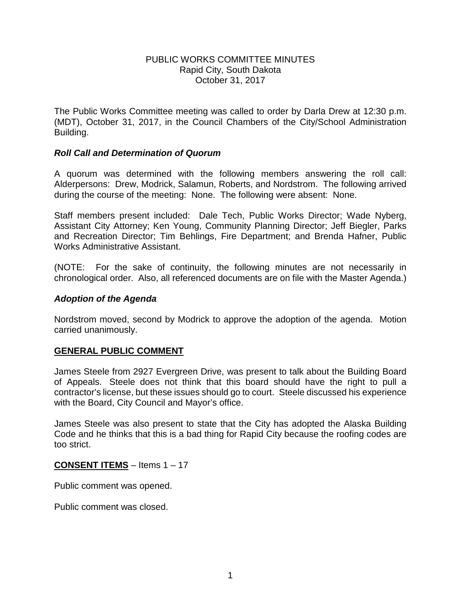### PUBLIC WORKS COMMITTEE MINUTES Rapid City, South Dakota October 31, 2017

The Public Works Committee meeting was called to order by Darla Drew at 12:30 p.m. (MDT), October 31, 2017, in the Council Chambers of the City/School Administration Building.

### *Roll Call and Determination of Quorum*

A quorum was determined with the following members answering the roll call: Alderpersons: Drew, Modrick, Salamun, Roberts, and Nordstrom. The following arrived during the course of the meeting: None. The following were absent: None.

Staff members present included: Dale Tech, Public Works Director; Wade Nyberg, Assistant City Attorney; Ken Young, Community Planning Director; Jeff Biegler, Parks and Recreation Director; Tim Behlings, Fire Department; and Brenda Hafner, Public Works Administrative Assistant.

(NOTE: For the sake of continuity, the following minutes are not necessarily in chronological order. Also, all referenced documents are on file with the Master Agenda.)

### *Adoption of the Agenda*

Nordstrom moved, second by Modrick to approve the adoption of the agenda. Motion carried unanimously.

# **GENERAL PUBLIC COMMENT**

James Steele from 2927 Evergreen Drive, was present to talk about the Building Board of Appeals. Steele does not think that this board should have the right to pull a contractor's license, but these issues should go to court. Steele discussed his experience with the Board, City Council and Mayor's office.

James Steele was also present to state that the City has adopted the Alaska Building Code and he thinks that this is a bad thing for Rapid City because the roofing codes are too strict.

# **CONSENT ITEMS** – Items 1 – 17

Public comment was opened.

Public comment was closed.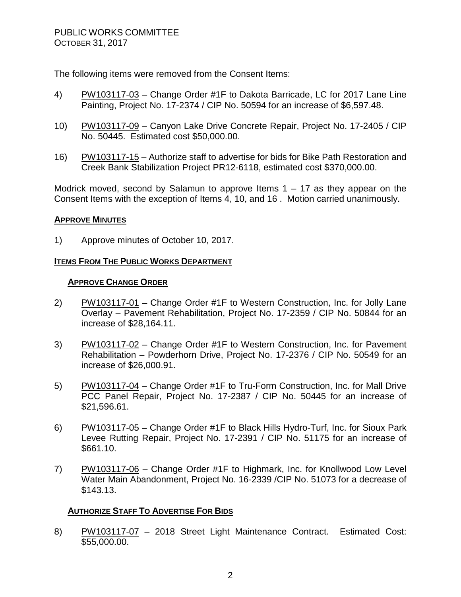The following items were removed from the Consent Items:

- 4) PW103117-03 Change Order #1F to Dakota Barricade, LC for 2017 Lane Line Painting, Project No. 17-2374 / CIP No. 50594 for an increase of \$6,597.48.
- 10) PW103117-09 Canyon Lake Drive Concrete Repair, Project No. 17-2405 / CIP No. 50445. Estimated cost \$50,000.00.
- 16) PW103117-15 Authorize staff to advertise for bids for Bike Path Restoration and Creek Bank Stabilization Project PR12-6118, estimated cost \$370,000.00.

Modrick moved, second by Salamun to approve Items  $1 - 17$  as they appear on the Consent Items with the exception of Items 4, 10, and 16 . Motion carried unanimously.

# **APPROVE MINUTES**

1) Approve minutes of October 10, 2017.

# **ITEMS FROM THE PUBLIC WORKS DEPARTMENT**

### **APPROVE CHANGE ORDER**

- 2) PW103117-01 Change Order #1F to Western Construction, Inc. for Jolly Lane Overlay – Pavement Rehabilitation, Project No. 17-2359 / CIP No. 50844 for an increase of \$28,164.11.
- 3) PW103117-02 Change Order #1F to Western Construction, Inc. for Pavement Rehabilitation – Powderhorn Drive, Project No. 17-2376 / CIP No. 50549 for an increase of \$26,000.91.
- 5) PW103117-04 Change Order #1F to Tru-Form Construction, Inc. for Mall Drive PCC Panel Repair, Project No. 17-2387 / CIP No. 50445 for an increase of \$21,596.61.
- 6) PW103117-05 Change Order #1F to Black Hills Hydro-Turf, Inc. for Sioux Park Levee Rutting Repair, Project No. 17-2391 / CIP No. 51175 for an increase of \$661.10.
- 7) PW103117-06 Change Order #1F to Highmark, Inc. for Knollwood Low Level Water Main Abandonment, Project No. 16-2339 /CIP No. 51073 for a decrease of \$143.13.

# **AUTHORIZE STAFF TO ADVERTISE FOR BIDS**

8) PW103117-07 – 2018 Street Light Maintenance Contract. Estimated Cost: \$55,000.00.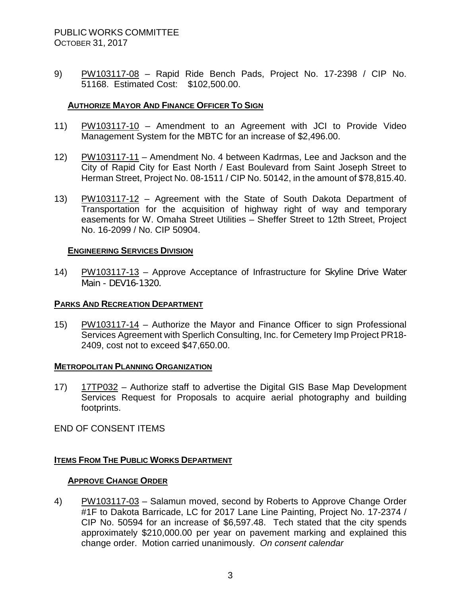9) PW103117-08 – Rapid Ride Bench Pads, Project No. 17-2398 / CIP No. 51168. Estimated Cost: \$102,500.00.

### **AUTHORIZE MAYOR AND FINANCE OFFICER TO SIGN**

- 11) PW103117-10 Amendment to an Agreement with JCI to Provide Video Management System for the MBTC for an increase of \$2,496.00.
- 12) PW103117-11 Amendment No. 4 between Kadrmas, Lee and Jackson and the City of Rapid City for East North / East Boulevard from Saint Joseph Street to Herman Street, Project No. 08-1511 / CIP No. 50142, in the amount of \$78,815.40.
- 13) PW103117-12 Agreement with the State of South Dakota Department of Transportation for the acquisition of highway right of way and temporary easements for W. Omaha Street Utilities – Sheffer Street to 12th Street, Project No. 16-2099 / No. CIP 50904.

#### **ENGINEERING SERVICES DIVISION**

14) PW103117-13 – Approve Acceptance of Infrastructure for Skyline Drive Water Main - DEV16-1320.

#### **PARKS AND RECREATION DEPARTMENT**

15) PW103117-14 – Authorize the Mayor and Finance Officer to sign Professional Services Agreement with Sperlich Consulting, Inc. for Cemetery Imp Project PR18- 2409, cost not to exceed \$47,650.00.

#### **METROPOLITAN PLANNING ORGANIZATION**

17) 17TP032 – Authorize staff to advertise the Digital GIS Base Map Development Services Request for Proposals to acquire aerial photography and building footprints.

END OF CONSENT ITEMS

# **ITEMS FROM THE PUBLIC WORKS DEPARTMENT**

# **APPROVE CHANGE ORDER**

4) PW103117-03 - Salamun moved, second by Roberts to Approve Change Order #1F to Dakota Barricade, LC for 2017 Lane Line Painting, Project No. 17-2374 / CIP No. 50594 for an increase of \$6,597.48. Tech stated that the city spends approximately \$210,000.00 per year on pavement marking and explained this change order. Motion carried unanimously. *On consent calendar*